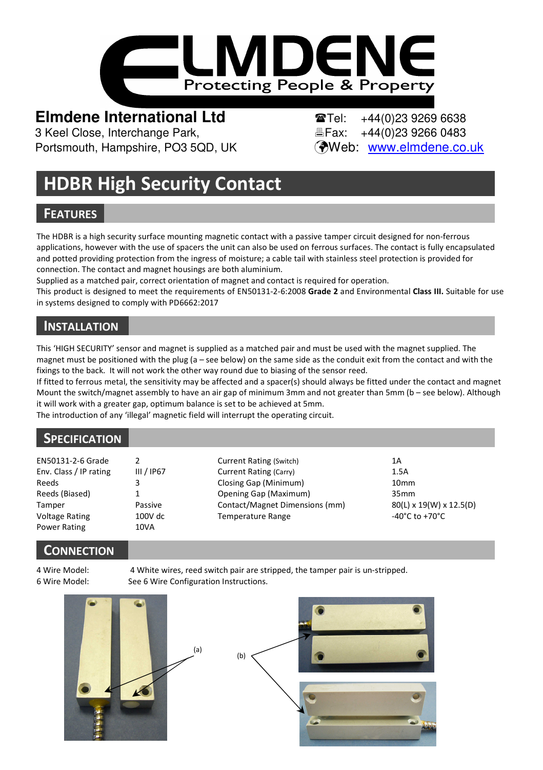

**Elmdene International Ltd Tel:**  $+44(0)2392696638$ 

Portsmouth, Hampshire, PO3 5QD, UK **Web:** www.elmdene.co.uk

3 Keel Close, Interchange Park, Fax: +44(0)23 9266 0483

## **HDBR High Security Contact**

## **FEATURES**

The HDBR is a high security surface mounting magnetic contact with a passive tamper circuit designed for non-ferrous applications, however with the use of spacers the unit can also be used on ferrous surfaces. The contact is fully encapsulated and potted providing protection from the ingress of moisture; a cable tail with stainless steel protection is provided for connection. The contact and magnet housings are both aluminium.

Supplied as a matched pair, correct orientation of magnet and contact is required for operation.

This product is designed to meet the requirements of EN50131-2-6:2008 **Grade 2** and Environmental **Class III.** Suitable for use in systems designed to comply with PD6662:2017

### **INSTALLATION**

This 'HIGH SECURITY' sensor and magnet is supplied as a matched pair and must be used with the magnet supplied. The magnet must be positioned with the plug ( $a$  – see below) on the same side as the conduit exit from the contact and with the fixings to the back. It will not work the other way round due to biasing of the sensor reed.

If fitted to ferrous metal, the sensitivity may be affected and a spacer(s) should always be fitted under the contact and magnet Mount the switch/magnet assembly to have an air gap of minimum 3mm and not greater than 5mm (b – see below). Although it will work with a greater gap, optimum balance is set to be achieved at 5mm.

The introduction of any 'illegal' magnetic field will interrupt the operating circuit.

## **SPECIFICATION**

| EN50131-2-6 Grade      |            | Current Rating (Switch)        | 1A                      |
|------------------------|------------|--------------------------------|-------------------------|
| Env. Class / IP rating | III / IP67 | Current Rating (Carry)         | 1.5A                    |
| Reeds                  |            | Closing Gap (Minimum)          | 10 <sub>mm</sub>        |
| Reeds (Biased)         |            | Opening Gap (Maximum)          | 35mm                    |
| Tamper                 | Passive    | Contact/Magnet Dimensions (mm) | 80(L) x 19(W) x 12.5(D) |
| <b>Voltage Rating</b>  | 100V dc    | <b>Temperature Range</b>       | -40°C to +70°C          |
| Power Rating           | 10VA       |                                |                         |

#### **CONNECTION**

4 Wire Model: 4 White wires, reed switch pair are stripped, the tamper pair is un-stripped. 6 Wire Model: See 6 Wire Configuration Instructions.

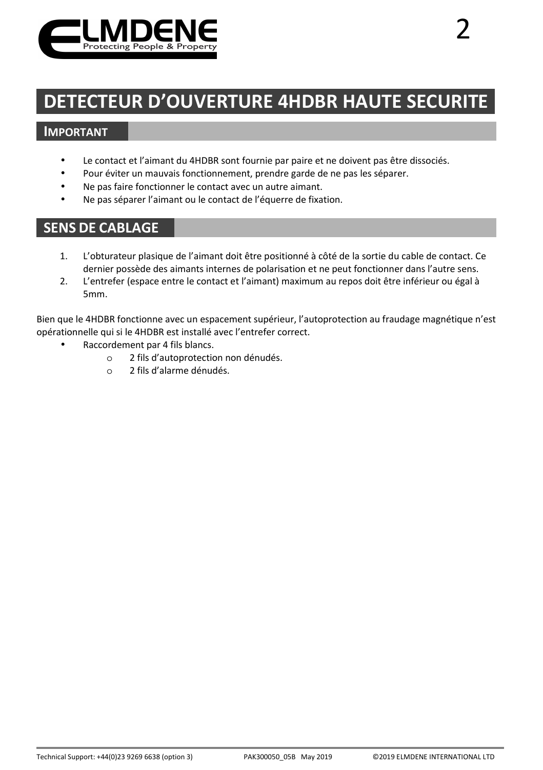

# **DETECTEUR D'OUVERTURE 4HDBR HAUTE SECURITE**

#### **IMPORTANT**

- Le contact et l'aimant du 4HDBR sont fournie par paire et ne doivent pas être dissociés.
- Pour éviter un mauvais fonctionnement, prendre garde de ne pas les séparer.
- Ne pas faire fonctionner le contact avec un autre aimant.
- Ne pas séparer l'aimant ou le contact de l'équerre de fixation.

## **SENS DE CABLAGE**

- 1. L'obturateur plasique de l'aimant doit être positionné à côté de la sortie du cable de contact. Ce dernier possède des aimants internes de polarisation et ne peut fonctionner dans l'autre sens.
- 2. L'entrefer (espace entre le contact et l'aimant) maximum au repos doit être inférieur ou égal à 5mm.

Bien que le 4HDBR fonctionne avec un espacement supérieur, l'autoprotection au fraudage magnétique n'est opérationnelle qui si le 4HDBR est installé avec l'entrefer correct.

- Raccordement par 4 fils blancs.
	- o 2 fils d'autoprotection non dénudés.
	- o 2 fils d'alarme dénudés.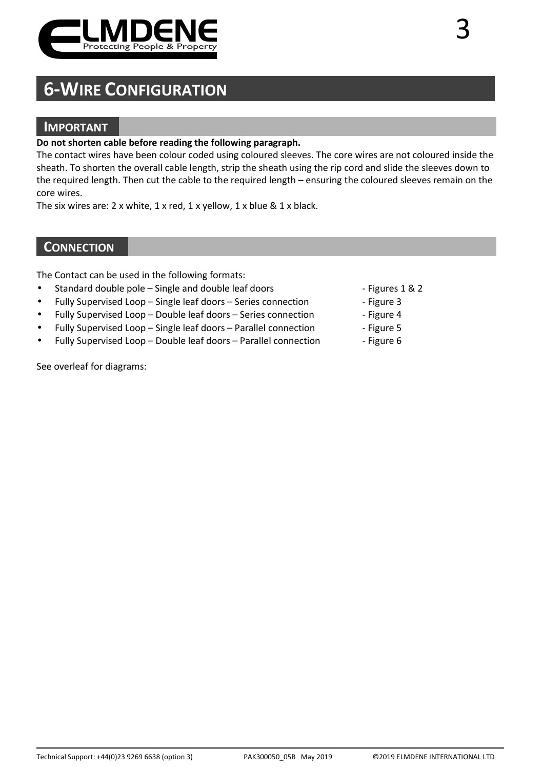

## **6-WIRE CONFIGURATION**

#### **IMPORTANT**

#### **Do not shorten cable before reading the following paragraph.**

The contact wires have been colour coded using coloured sleeves. The core wires are not coloured inside the sheath. To shorten the overall cable length, strip the sheath using the rip cord and slide the sleeves down to the required length. Then cut the cable to the required length – ensuring the coloured sleeves remain on the core wires.

The six wires are: 2 x white, 1 x red, 1 x yellow, 1 x blue & 1 x black.

## **CONNECTION**

The Contact can be used in the following formats:

- Standard double pole Single and double leaf doors Figures 1 & 2
- Fully Supervised Loop Single leaf doors Series connection Figure 3
- Fully Supervised Loop Double leaf doors Series connection Figure 4
- Fully Supervised Loop Single leaf doors Parallel connection Figure 5
- Fully Supervised Loop Double leaf doors Parallel connection Figure 6
- 
- 
- 
- 
- 

See overleaf for diagrams: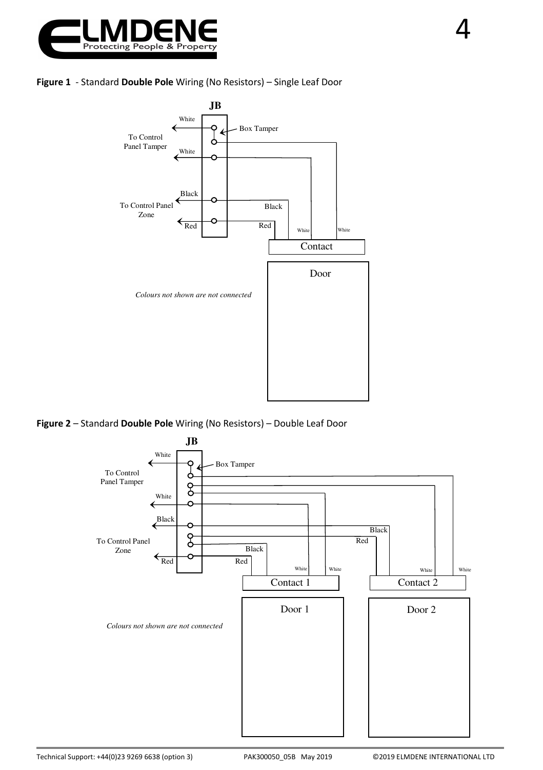

#### **Figure 1** - Standard **Double Pole** Wiring (No Resistors) – Single Leaf Door



**Figure 2** – Standard **Double Pole** Wiring (No Resistors) – Double Leaf Door



4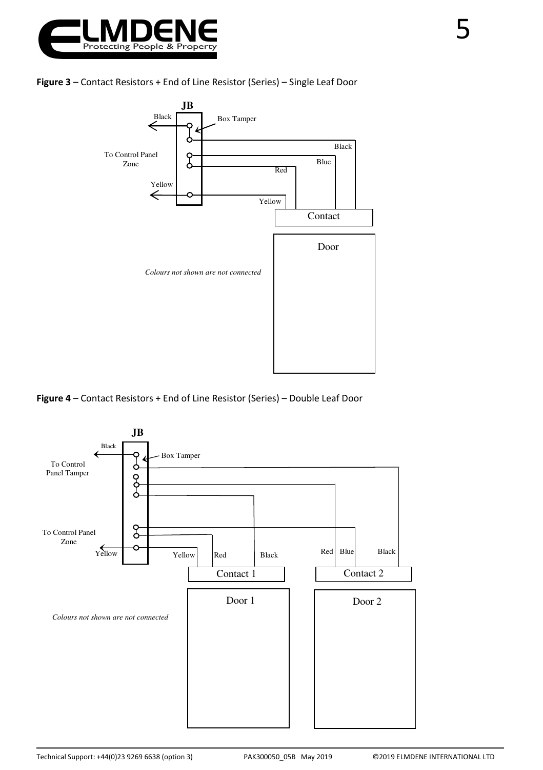

#### **Figure 3** – Contact Resistors + End of Line Resistor (Series) – Single Leaf Door



**Figure 4** – Contact Resistors + End of Line Resistor (Series) – Double Leaf Door

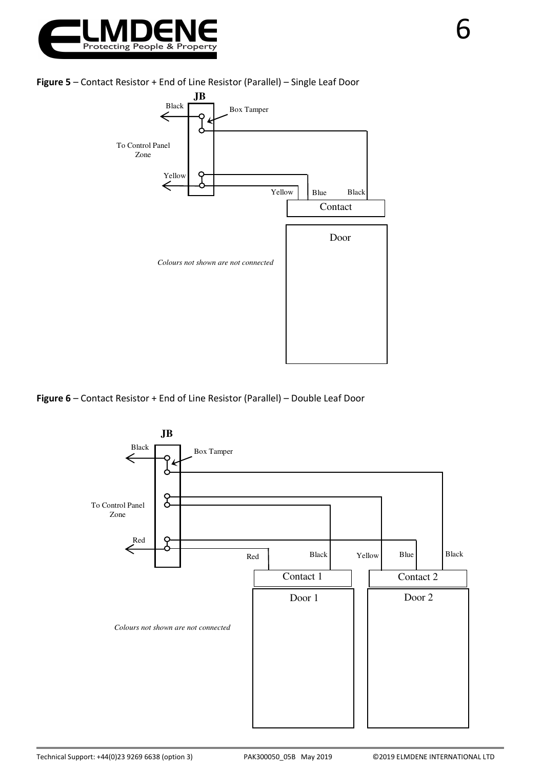



**Figure 6** – Contact Resistor + End of Line Resistor (Parallel) – Double Leaf Door

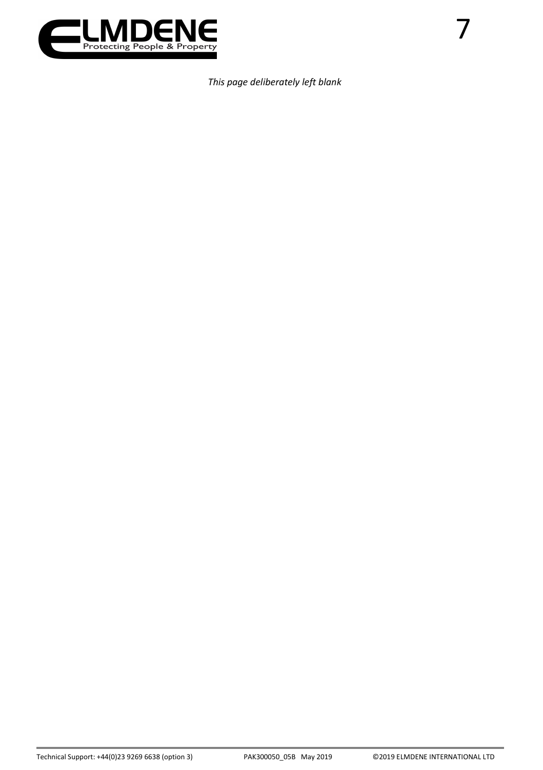

*This page deliberately left blank*